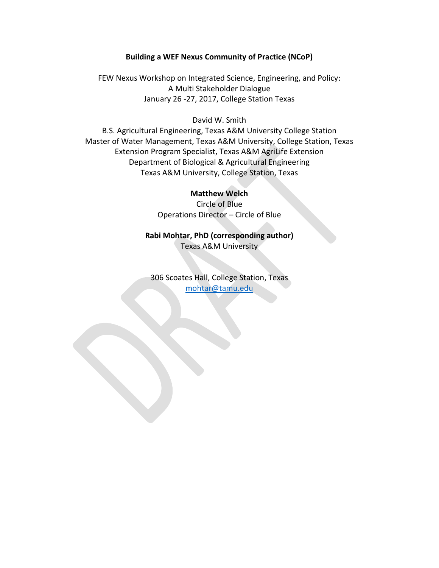# **Building a WEF Nexus Community of Practice (NCoP)**

FEW Nexus Workshop on Integrated Science, Engineering, and Policy: A Multi Stakeholder Dialogue January 26 -27, 2017, College Station Texas

## David W. Smith

B.S. Agricultural Engineering, Texas A&M University College Station Master of Water Management, Texas A&M University, College Station, Texas Extension Program Specialist, Texas A&M AgriLife Extension Department of Biological & Agricultural Engineering Texas A&M University, College Station, Texas

# **Matthew Welch**

Circle of Blue Operations Director – Circle of Blue

**Rabi Mohtar, PhD (corresponding author)** Texas A&M University

306 Scoates Hall, College Station, Texas [mohtar@tamu.edu](mailto:mohtar@tamu.edu)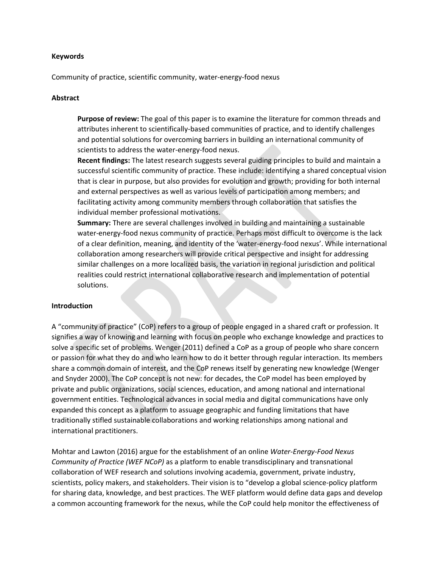#### **Keywords**

Community of practice, scientific community, water-energy-food nexus

#### **Abstract**

**Purpose of review:** The goal of this paper is to examine the literature for common threads and attributes inherent to scientifically-based communities of practice, and to identify challenges and potential solutions for overcoming barriers in building an international community of scientists to address the water-energy-food nexus.

**Recent findings:** The latest research suggests several guiding principles to build and maintain a successful scientific community of practice. These include: identifying a shared conceptual vision that is clear in purpose, but also provides for evolution and growth; providing for both internal and external perspectives as well as various levels of participation among members; and facilitating activity among community members through collaboration that satisfies the individual member professional motivations.

**Summary:** There are several challenges involved in building and maintaining a sustainable water-energy-food nexus community of practice. Perhaps most difficult to overcome is the lack of a clear definition, meaning, and identity of the 'water-energy-food nexus'. While international collaboration among researchers will provide critical perspective and insight for addressing similar challenges on a more localized basis, the variation in regional jurisdiction and political realities could restrict international collaborative research and implementation of potential solutions.

### **Introduction**

A "community of practice" (CoP) refers to a group of people engaged in a shared craft or profession. It signifies a way of knowing and learning with focus on people who exchange knowledge and practices to solve a specific set of problems. Wenger (2011) defined a CoP as a group of people who share concern or passion for what they do and who learn how to do it better through regular interaction. Its members share a common domain of interest, and the CoP renews itself by generating new knowledge (Wenger and Snyder 2000). The CoP concept is not new: for decades, the CoP model has been employed by private and public organizations, social sciences, education, and among national and international government entities. Technological advances in social media and digital communications have only expanded this concept as a platform to assuage geographic and funding limitations that have traditionally stifled sustainable collaborations and working relationships among national and international practitioners.

Mohtar and Lawton (2016) argue for the establishment of an online *Water-Energy-Food Nexus Community of Practice (WEF NCoP)* as a platform to enable transdisciplinary and transnational collaboration of WEF research and solutions involving academia, government, private industry, scientists, policy makers, and stakeholders. Their vision is to "develop a global science-policy platform for sharing data, knowledge, and best practices. The WEF platform would define data gaps and develop a common accounting framework for the nexus, while the CoP could help monitor the effectiveness of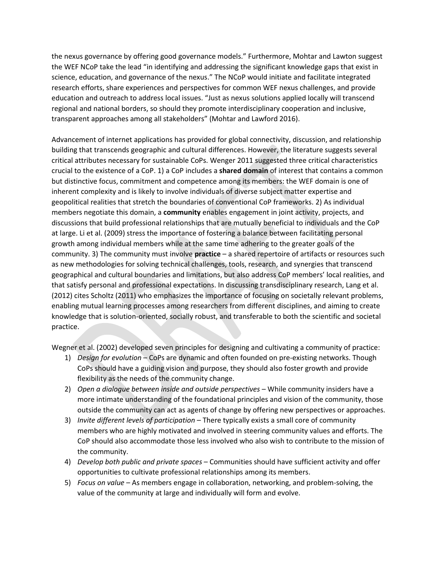the nexus governance by offering good governance models." Furthermore, Mohtar and Lawton suggest the WEF NCoP take the lead "in identifying and addressing the significant knowledge gaps that exist in science, education, and governance of the nexus." The NCoP would initiate and facilitate integrated research efforts, share experiences and perspectives for common WEF nexus challenges, and provide education and outreach to address local issues. "Just as nexus solutions applied locally will transcend regional and national borders, so should they promote interdisciplinary cooperation and inclusive, transparent approaches among all stakeholders" (Mohtar and Lawford 2016).

Advancement of internet applications has provided for global connectivity, discussion, and relationship building that transcends geographic and cultural differences. However, the literature suggests several critical attributes necessary for sustainable CoPs. Wenger 2011 suggested three critical characteristics crucial to the existence of a CoP. 1) a CoP includes a **shared domain** of interest that contains a common but distinctive focus, commitment and competence among its members: the WEF domain is one of inherent complexity and is likely to involve individuals of diverse subject matter expertise and geopolitical realities that stretch the boundaries of conventional CoP frameworks. 2) As individual members negotiate this domain, a **community** enables engagement in joint activity, projects, and discussions that build professional relationships that are mutually beneficial to individuals and the CoP at large. Li et al. (2009) stress the importance of fostering a balance between facilitating personal growth among individual members while at the same time adhering to the greater goals of the community. 3) The community must involve **practice** – a shared repertoire of artifacts or resources such as new methodologies for solving technical challenges, tools, research, and synergies that transcend geographical and cultural boundaries and limitations, but also address CoP members' local realities, and that satisfy personal and professional expectations. In discussing transdisciplinary research, Lang et al. (2012) cites Scholtz (2011) who emphasizes the importance of focusing on societally relevant problems, enabling mutual learning processes among researchers from different disciplines, and aiming to create knowledge that is solution-oriented, socially robust, and transferable to both the scientific and societal practice.

Wegner et al. (2002) developed seven principles for designing and cultivating a community of practice:

- 1) *Design for evolution* CoPs are dynamic and often founded on pre-existing networks. Though CoPs should have a guiding vision and purpose, they should also foster growth and provide flexibility as the needs of the community change.
- 2) *Open a dialogue between inside and outside perspectives* While community insiders have a more intimate understanding of the foundational principles and vision of the community, those outside the community can act as agents of change by offering new perspectives or approaches.
- 3) *Invite different levels of participation* There typically exists a small core of community members who are highly motivated and involved in steering community values and efforts. The CoP should also accommodate those less involved who also wish to contribute to the mission of the community.
- 4) *Develop both public and private spaces* Communities should have sufficient activity and offer opportunities to cultivate professional relationships among its members.
- 5) *Focus on value* As members engage in collaboration, networking, and problem-solving, the value of the community at large and individually will form and evolve.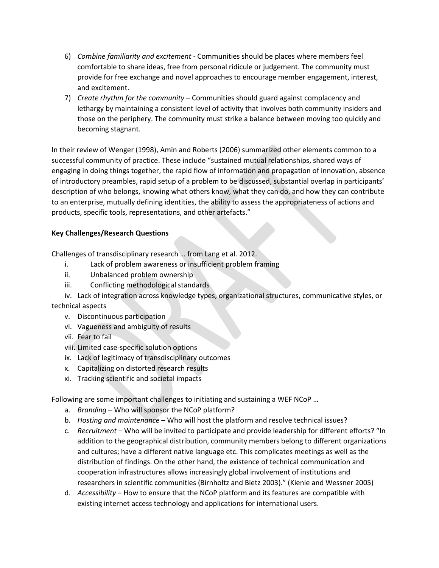- 6) *Combine familiarity and excitement* Communities should be places where members feel comfortable to share ideas, free from personal ridicule or judgement. The community must provide for free exchange and novel approaches to encourage member engagement, interest, and excitement.
- 7) *Create rhythm for the community* Communities should guard against complacency and lethargy by maintaining a consistent level of activity that involves both community insiders and those on the periphery. The community must strike a balance between moving too quickly and becoming stagnant.

In their review of Wenger (1998), Amin and Roberts (2006) summarized other elements common to a successful community of practice. These include "sustained mutual relationships, shared ways of engaging in doing things together, the rapid flow of information and propagation of innovation, absence of introductory preambles, rapid setup of a problem to be discussed, substantial overlap in participants' description of who belongs, knowing what others know, what they can do, and how they can contribute to an enterprise, mutually defining identities, the ability to assess the appropriateness of actions and products, specific tools, representations, and other artefacts."

# **Key Challenges/Research Questions**

Challenges of transdisciplinary research … from Lang et al. 2012.

- i. Lack of problem awareness or insufficient problem framing
- ii. Unbalanced problem ownership
- iii. Conflicting methodological standards
- iv. Lack of integration across knowledge types, organizational structures, communicative styles, or

technical aspects

- v. Discontinuous participation
- vi. Vagueness and ambiguity of results
- vii. Fear to fail
- viii. Limited case-specific solution options
- ix. Lack of legitimacy of transdisciplinary outcomes
- x. Capitalizing on distorted research results
- xi. Tracking scientific and societal impacts

Following are some important challenges to initiating and sustaining a WEF NCoP …

- a. *Branding* Who will sponsor the NCoP platform?
- b. *Hosting and maintenance* Who will host the platform and resolve technical issues?
- c. *Recruitment*  Who will be invited to participate and provide leadership for different efforts? "In addition to the geographical distribution, community members belong to different organizations and cultures; have a different native language etc. This complicates meetings as well as the distribution of findings. On the other hand, the existence of technical communication and cooperation infrastructures allows increasingly global involvement of institutions and researchers in scientific communities (Birnholtz and Bietz 2003)." (Kienle and Wessner 2005)
- d. *Accessibility* How to ensure that the NCoP platform and its features are compatible with existing internet access technology and applications for international users.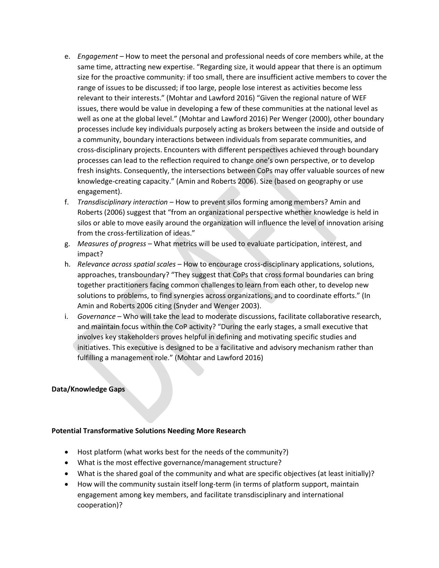- e. *Engagement* How to meet the personal and professional needs of core members while, at the same time, attracting new expertise. "Regarding size, it would appear that there is an optimum size for the proactive community: if too small, there are insufficient active members to cover the range of issues to be discussed; if too large, people lose interest as activities become less relevant to their interests." (Mohtar and Lawford 2016) "Given the regional nature of WEF issues, there would be value in developing a few of these communities at the national level as well as one at the global level." (Mohtar and Lawford 2016) Per Wenger (2000), other boundary processes include key individuals purposely acting as brokers between the inside and outside of a community, boundary interactions between individuals from separate communities, and cross-disciplinary projects. Encounters with different perspectives achieved through boundary processes can lead to the reflection required to change one's own perspective, or to develop fresh insights. Consequently, the intersections between CoPs may offer valuable sources of new knowledge-creating capacity." (Amin and Roberts 2006). Size (based on geography or use engagement).
- f. *Transdisciplinary interaction* How to prevent silos forming among members? Amin and Roberts (2006) suggest that "from an organizational perspective whether knowledge is held in silos or able to move easily around the organization will influence the level of innovation arising from the cross-fertilization of ideas."
- g. *Measures of progress* What metrics will be used to evaluate participation, interest, and impact?
- h. *Relevance across spatial scales* How to encourage cross-disciplinary applications, solutions, approaches, transboundary? "They suggest that CoPs that cross formal boundaries can bring together practitioners facing common challenges to learn from each other, to develop new solutions to problems, to find synergies across organizations, and to coordinate efforts." (In Amin and Roberts 2006 citing (Snyder and Wenger 2003).
- i. *Governance* Who will take the lead to moderate discussions, facilitate collaborative research, and maintain focus within the CoP activity? "During the early stages, a small executive that involves key stakeholders proves helpful in defining and motivating specific studies and initiatives. This executive is designed to be a facilitative and advisory mechanism rather than fulfilling a management role." (Mohtar and Lawford 2016)

### **Data/Knowledge Gaps**

### **Potential Transformative Solutions Needing More Research**

- Host platform (what works best for the needs of the community?)
- What is the most effective governance/management structure?
- What is the shared goal of the community and what are specific objectives (at least initially)?
- How will the community sustain itself long-term (in terms of platform support, maintain engagement among key members, and facilitate transdisciplinary and international cooperation)?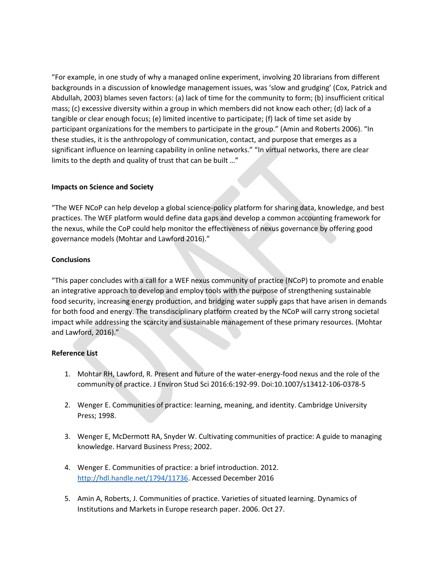"For example, in one study of why a managed online experiment, involving 20 librarians from different backgrounds in a discussion of knowledge management issues, was 'slow and grudging' (Cox, Patrick and Abdullah, 2003) blames seven factors: (a) lack of time for the community to form; (b) insufficient critical mass; (c) excessive diversity within a group in which members did not know each other; (d) lack of a tangible or clear enough focus; (e) limited incentive to participate; (f) lack of time set aside by participant organizations for the members to participate in the group." (Amin and Roberts 2006). "In these studies, it is the anthropology of communication, contact, and purpose that emerges as a significant influence on learning capability in online networks." "In virtual networks, there are clear limits to the depth and quality of trust that can be built …"

# **Impacts on Science and Society**

"The WEF NCoP can help develop a global science-policy platform for sharing data, knowledge, and best practices. The WEF platform would define data gaps and develop a common accounting framework for the nexus, while the CoP could help monitor the effectiveness of nexus governance by offering good governance models (Mohtar and Lawford 2016)."

# **Conclusions**

"This paper concludes with a call for a WEF nexus community of practice (NCoP) to promote and enable an integrative approach to develop and employ tools with the purpose of strengthening sustainable food security, increasing energy production, and bridging water supply gaps that have arisen in demands for both food and energy. The transdisciplinary platform created by the NCoP will carry strong societal impact while addressing the scarcity and sustainable management of these primary resources. (Mohtar and Lawford, 2016)."

# **Reference List**

- 1. Mohtar RH, Lawford, R. Present and future of the water-energy-food nexus and the role of the community of practice. J Environ Stud Sci 2016:6:192-99. Doi:10.1007/s13412-106-0378-5
- 2. Wenger E. Communities of practice: learning, meaning, and identity. Cambridge University Press; 1998.
- 3. Wenger E, McDermott RA, Snyder W. Cultivating communities of practice: A guide to managing knowledge. Harvard Business Press; 2002.
- 4. Wenger E. Communities of practice: a brief introduction. 2012. [http://hdl.handle.net/1794/11736.](http://hdl.handle.net/1794/11736) Accessed December 2016
- 5. Amin A, Roberts, J. Communities of practice. Varieties of situated learning. Dynamics of Institutions and Markets in Europe research paper. 2006. Oct 27.